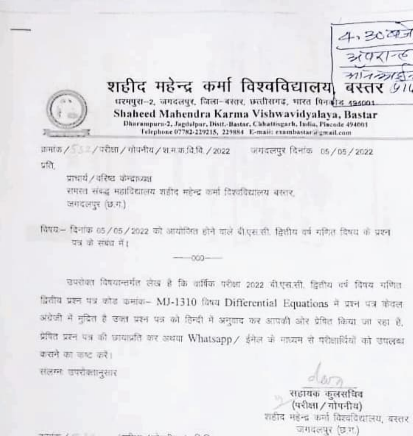



### शहीद महेन्द्र कर्मा विश्वविद्यालय बस्तर 910

धरमपुरा-2, जगदलपुर, जिला-बरतर, छत्तीसगढ़, भारत पिनकीड 494001 Shaheed Mahendra Karma Vishwavidyalaya, Bastar Dharampurn-2, Jagdulpur, Distt.-Bastar, Chhattisgarh, India, Pincode 494001 Felephone 07782-229215, 229884 E-mail: exambastat a greatLeam

क्रमांक / डि. / परीक्षा / गोपनीय / श.म.क.वि.वि. / 2022 जगदलपुर दिनांक 05/05/2022 प्रति

प्राधार्य / वरिष्टा कन्द्राध्यक्ष समस्त संबद्ध महाविद्यालय शहीद महेन्द्र कर्मा विश्वविद्यालय बरसर, जगदलपुर (छ.ग.)

विषय— दिनांक 05/05/2022 को आयोजित होने वाले बीएस.सी. द्वितीय वर्ष गणित दिषय के प्रश्न यत के संबंध में।

ooo

खपरोवत विषयान्तर्गत लेख है कि वार्षिक परीक्षा 2022 बी.एस.सी. द्वितीय वर्ष विषय गणित द्वितीय प्रश्न पत्र कोड कमांक- MJ-1310 किंग्य Differential Equations में प्रश्न पत्र केंदल अंग्रेजी में मुद्रित है उन्हा प्रश्न पत्र को हिन्दी में अनुवाद कर आपकी और प्रेषित किया जा रहा है, प्रेमित प्रश्न पत्र की छायाप्रति कर अथवा Whatsapp / ईमेल के माध्यम से परीज्ञाधियों को उपलब्ध कसने का जाट करें।

सलम्मा जपरोक्षानुसार

सहायक कलसचिव (परीक्षा / गोपनीय) शहीद महेन्द्र कर्मा विश्वविद्यालय, बरतर जगदलपर (छ.म.)

and the property of the control of the con-The Company of the Company of the Company of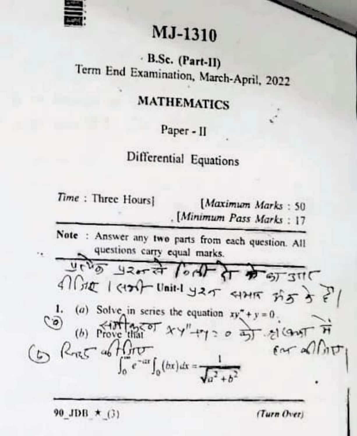

## MJ-1310

# B.Sc. (Part-II)<br>Term End Examination, March-April, 2022

#### MATHEMATICS

Paper - II

### Ditferential Equations

Time: Three Hours] [Maximum Marks: 50 [Minimum Pass Marks: 17

Note : Answer any two parts from each question. All questions carry equal marks.

4)  $\int \frac{d\theta}{dt}$  (circle in series the equation  $xy^2 + y = 0$ .<br>
(b) Prove that  $\theta$  xy" (c)  $\theta$  as  $\theta$  (c)  $\theta$  (c)  $\theta$  (c)  $\theta$  (c)  $\theta$  (c)  $\theta$  (c)  $\theta$  (c)  $\theta$  (c)  $\theta$  (c)  $\theta$  (c)  $\theta$  (c)  $\theta$  (c)  $\theta$  (c)  $\theta$  (c

90 JDB  $\star$  (3) (Turn Over)